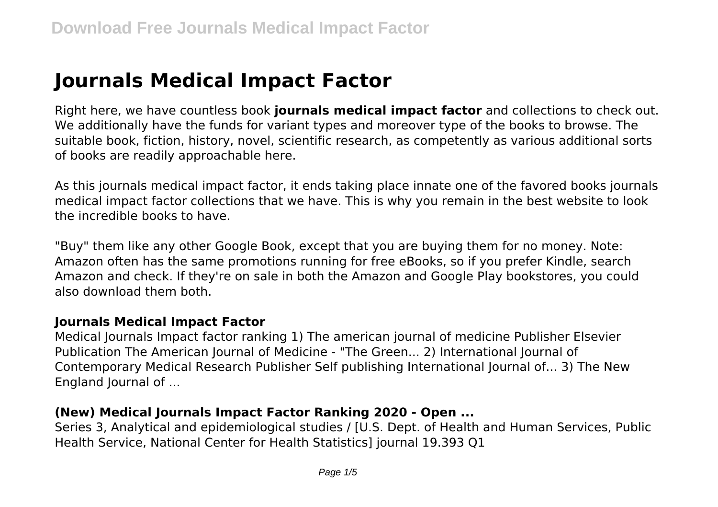# **Journals Medical Impact Factor**

Right here, we have countless book **journals medical impact factor** and collections to check out. We additionally have the funds for variant types and moreover type of the books to browse. The suitable book, fiction, history, novel, scientific research, as competently as various additional sorts of books are readily approachable here.

As this journals medical impact factor, it ends taking place innate one of the favored books journals medical impact factor collections that we have. This is why you remain in the best website to look the incredible books to have.

"Buy" them like any other Google Book, except that you are buying them for no money. Note: Amazon often has the same promotions running for free eBooks, so if you prefer Kindle, search Amazon and check. If they're on sale in both the Amazon and Google Play bookstores, you could also download them both.

## **Journals Medical Impact Factor**

Medical Journals Impact factor ranking 1) The american journal of medicine Publisher Elsevier Publication The American Journal of Medicine - "The Green... 2) International Journal of Contemporary Medical Research Publisher Self publishing International Journal of... 3) The New England Journal of ...

## **(New) Medical Journals Impact Factor Ranking 2020 - Open ...**

Series 3, Analytical and epidemiological studies / [U.S. Dept. of Health and Human Services, Public Health Service, National Center for Health Statistics] journal 19.393 Q1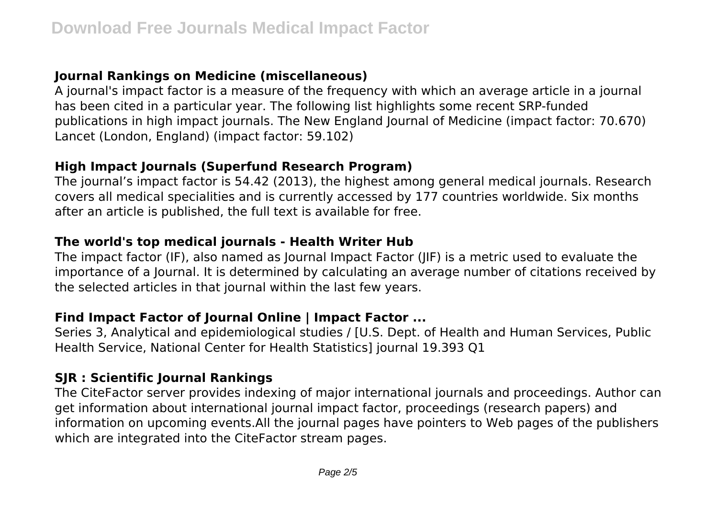# **Journal Rankings on Medicine (miscellaneous)**

A journal's impact factor is a measure of the frequency with which an average article in a journal has been cited in a particular year. The following list highlights some recent SRP-funded publications in high impact journals. The New England Journal of Medicine (impact factor: 70.670) Lancet (London, England) (impact factor: 59.102)

## **High Impact Journals (Superfund Research Program)**

The journal's impact factor is 54.42 (2013), the highest among general medical journals. Research covers all medical specialities and is currently accessed by 177 countries worldwide. Six months after an article is published, the full text is available for free.

## **The world's top medical journals - Health Writer Hub**

The impact factor (IF), also named as Journal Impact Factor (JIF) is a metric used to evaluate the importance of a Journal. It is determined by calculating an average number of citations received by the selected articles in that journal within the last few years.

## **Find Impact Factor of Journal Online | Impact Factor ...**

Series 3, Analytical and epidemiological studies / [U.S. Dept. of Health and Human Services, Public Health Service, National Center for Health Statistics] journal 19.393 Q1

## **SJR : Scientific Journal Rankings**

The CiteFactor server provides indexing of major international journals and proceedings. Author can get information about international journal impact factor, proceedings (research papers) and information on upcoming events.All the journal pages have pointers to Web pages of the publishers which are integrated into the CiteFactor stream pages.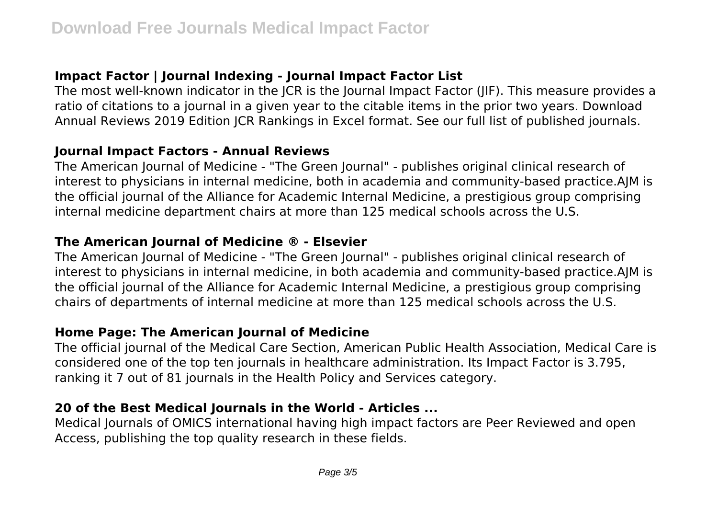# **Impact Factor | Journal Indexing - Journal Impact Factor List**

The most well-known indicator in the JCR is the Journal Impact Factor (JIF). This measure provides a ratio of citations to a journal in a given year to the citable items in the prior two years. Download Annual Reviews 2019 Edition JCR Rankings in Excel format. See our full list of published journals.

#### **Journal Impact Factors - Annual Reviews**

The American Journal of Medicine - "The Green Journal" - publishes original clinical research of interest to physicians in internal medicine, both in academia and community-based practice.AJM is the official journal of the Alliance for Academic Internal Medicine, a prestigious group comprising internal medicine department chairs at more than 125 medical schools across the U.S.

## **The American Journal of Medicine ® - Elsevier**

The American Journal of Medicine - "The Green Journal" - publishes original clinical research of interest to physicians in internal medicine, in both academia and community-based practice.AJM is the official journal of the Alliance for Academic Internal Medicine, a prestigious group comprising chairs of departments of internal medicine at more than 125 medical schools across the U.S.

## **Home Page: The American Journal of Medicine**

The official journal of the Medical Care Section, American Public Health Association, Medical Care is considered one of the top ten journals in healthcare administration. Its Impact Factor is 3.795, ranking it 7 out of 81 journals in the Health Policy and Services category.

## **20 of the Best Medical Journals in the World - Articles ...**

Medical Journals of OMICS international having high impact factors are Peer Reviewed and open Access, publishing the top quality research in these fields.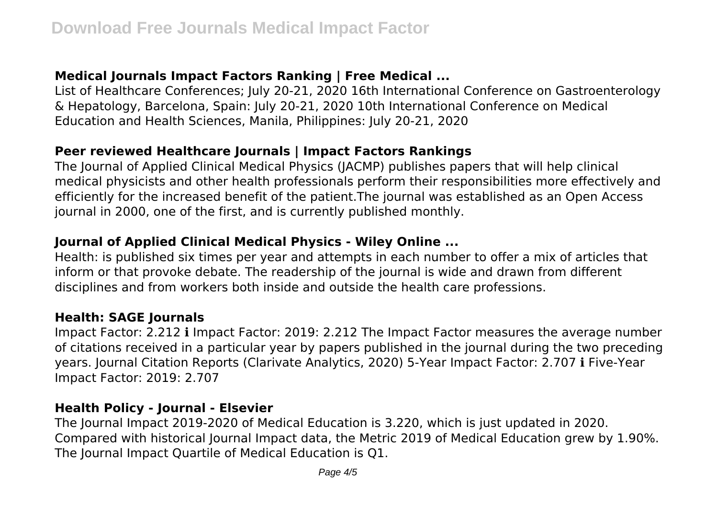# **Medical Journals Impact Factors Ranking | Free Medical ...**

List of Healthcare Conferences; July 20-21, 2020 16th International Conference on Gastroenterology & Hepatology, Barcelona, Spain: July 20-21, 2020 10th International Conference on Medical Education and Health Sciences, Manila, Philippines: July 20-21, 2020

#### **Peer reviewed Healthcare Journals | Impact Factors Rankings**

The Journal of Applied Clinical Medical Physics (JACMP) publishes papers that will help clinical medical physicists and other health professionals perform their responsibilities more effectively and efficiently for the increased benefit of the patient.The journal was established as an Open Access journal in 2000, one of the first, and is currently published monthly.

## **Journal of Applied Clinical Medical Physics - Wiley Online ...**

Health: is published six times per year and attempts in each number to offer a mix of articles that inform or that provoke debate. The readership of the journal is wide and drawn from different disciplines and from workers both inside and outside the health care professions.

#### **Health: SAGE Journals**

Impact Factor: 2.212 ℹ Impact Factor: 2019: 2.212 The Impact Factor measures the average number of citations received in a particular year by papers published in the journal during the two preceding years. Journal Citation Reports (Clarivate Analytics, 2020) 5-Year Impact Factor: 2.707 ℹ Five-Year Impact Factor: 2019: 2.707

#### **Health Policy - Journal - Elsevier**

The Journal Impact 2019-2020 of Medical Education is 3.220, which is just updated in 2020. Compared with historical Journal Impact data, the Metric 2019 of Medical Education grew by 1.90%. The Journal Impact Quartile of Medical Education is Q1.